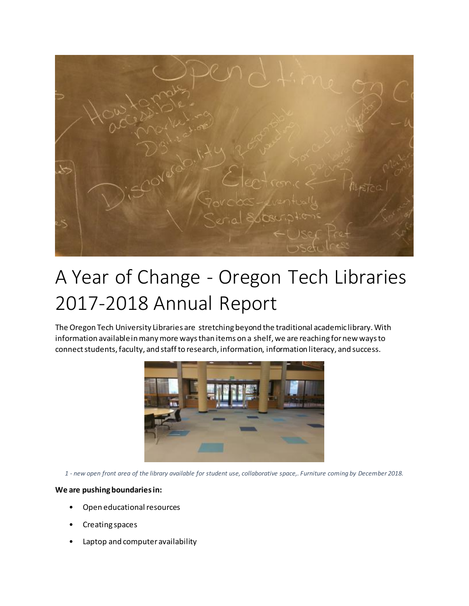

## A Year of Change - Oregon Tech Libraries 2017-2018 Annual Report

The Oregon Tech University Libraries are stretching beyond the traditional academic library. With information available in many more ways than items on a shelf, we are reaching for new ways to connect students, faculty, and staff to research, information, information literacy, and success.



*1 - new open front area of the library available for student use, collaborative space,. Furniture coming by December 2018.*

## **We are pushing boundaries in:**

- Open educational resources
- Creating spaces
- Laptop and computer availability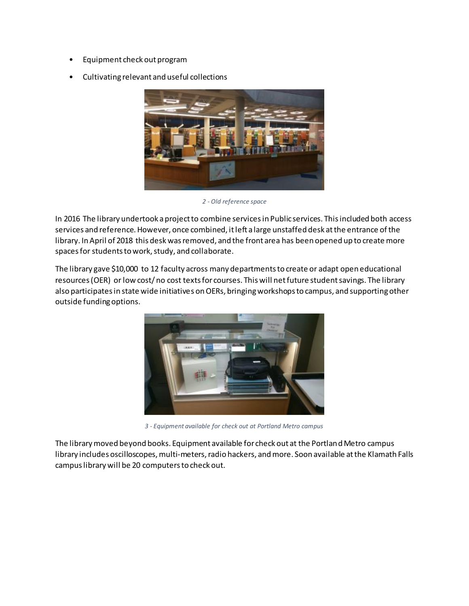- Equipment check out program
- Cultivating relevant and useful collections



*2 - Old reference space*

In 2016 The library undertook a project to combine services in Public services. This included both access services and reference. However, once combined, it left a large unstaffed desk at the entrance of the library. In April of 2018 this desk was removed, and the front area has been opened up to create more spaces for students to work, study, and collaborate.

The library gave \$10,000 to 12 faculty across many departments to create or adapt open educational resources (OER) or low cost/ no cost texts for courses. This will net future student savings. The library also participates in state wide initiatives on OERs, bringing workshops to campus, and supporting other outside funding options.



*3 - Equipment available for check out at Portland Metro campus*

The library moved beyond books. Equipment available for check out at the Portland Metro campus library includes oscilloscopes, multi-meters, radio hackers, and more. Soon available at the Klamath Falls campus library will be 20 computers to check out.